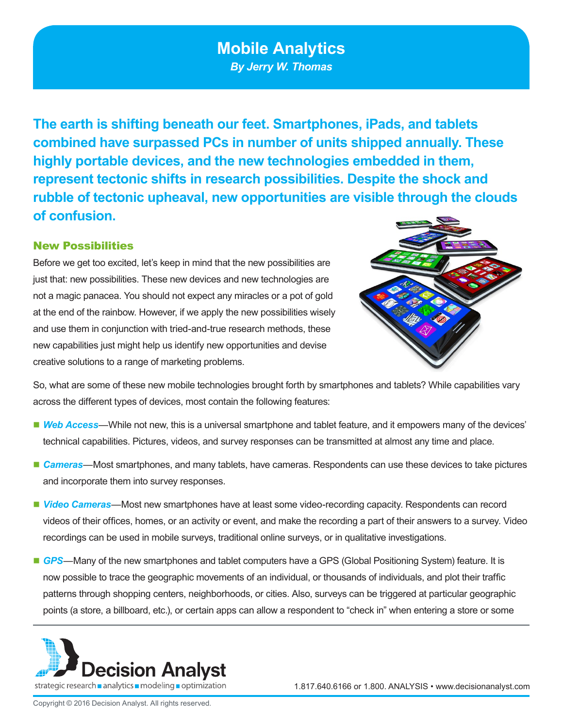# **Mobile Analytics**

*By Jerry W. Thomas*

**The earth is shifting beneath our feet. Smartphones, iPads, and tablets combined have surpassed PCs in number of units shipped annually. These highly portable devices, and the new technologies embedded in them, represent tectonic shifts in research possibilities. Despite the shock and rubble of tectonic upheaval, new opportunities are visible through the clouds of confusion.** 

### New Possibilities

Before we get too excited, let's keep in mind that the new possibilities are just that: new possibilities. These new devices and new technologies are not a magic panacea. You should not expect any miracles or a pot of gold at the end of the rainbow. However, if we apply the new possibilities wisely and use them in conjunction with tried-and-true research methods, these new capabilities just might help us identify new opportunities and devise creative solutions to a range of marketing problems.



So, what are some of these new mobile technologies brought forth by smartphones and tablets? While capabilities vary across the different types of devices, most contain the following features:

- *Web Access*—While not new, this is a universal smartphone and tablet feature, and it empowers many of the devices' technical capabilities. Pictures, videos, and survey responses can be transmitted at almost any time and place.
- *Cameras*—Most smartphones, and many tablets, have cameras. Respondents can use these devices to take pictures and incorporate them into survey responses.
- *Video Cameras*—Most new smartphones have at least some video-recording capacity. Respondents can record videos of their offices, homes, or an activity or event, and make the recording a part of their answers to a survey. Video recordings can be used in mobile surveys, traditional online surveys, or in qualitative investigations.
- GPS—Many of the new smartphones and tablet computers have a GPS (Global Positioning System) feature. It is now possible to trace the geographic movements of an individual, or thousands of individuals, and plot their traffic patterns through shopping centers, neighborhoods, or cities. Also, surveys can be triggered at particular geographic points (a store, a billboard, etc.), or certain apps can allow a respondent to "check in" when entering a store or some



1.817.640.6166 or 1.800. ANALYSIS • www.decisionanalyst.com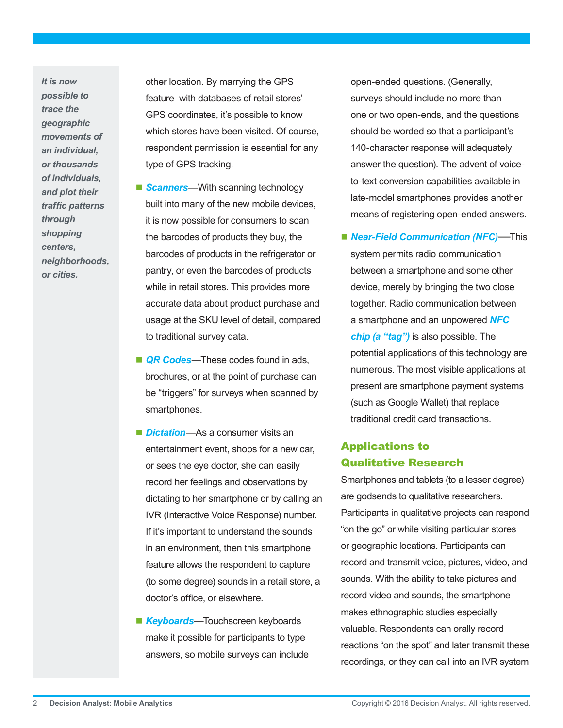*It is now possible to trace the geographic movements of an individual, or thousands of individuals, and plot their traffic patterns through shopping centers, neighborhoods, or cities.* 

other location. By marrying the GPS feature with databases of retail stores' GPS coordinates, it's possible to know which stores have been visited. Of course, respondent permission is essential for any type of GPS tracking.

- **Scanners**—With scanning technology built into many of the new mobile devices, it is now possible for consumers to scan the barcodes of products they buy, the barcodes of products in the refrigerator or pantry, or even the barcodes of products while in retail stores. This provides more accurate data about product purchase and usage at the SKU level of detail, compared to traditional survey data.
- **QR Codes**—These codes found in ads, brochures, or at the point of purchase can be "triggers" for surveys when scanned by smartphones.
- *Dictation*—As a consumer visits an entertainment event, shops for a new car, or sees the eye doctor, she can easily record her feelings and observations by dictating to her smartphone or by calling an IVR (Interactive Voice Response) number. If it's important to understand the sounds in an environment, then this smartphone feature allows the respondent to capture (to some degree) sounds in a retail store, a doctor's office, or elsewhere.
- **Keyboards**—Touchscreen keyboards make it possible for participants to type answers, so mobile surveys can include

open-ended questions. (Generally, surveys should include no more than one or two open-ends, and the questions should be worded so that a participant's 140-character response will adequately answer the question). The advent of voiceto-text conversion capabilities available in late-model smartphones provides another means of registering open-ended answers.

 *Near-Field Communication (NFC)*—This system permits radio communication between a smartphone and some other device, merely by bringing the two close together. Radio communication between a smartphone and an unpowered *NFC chip (a "tag")* is also possible. The potential applications of this technology are numerous. The most visible applications at present are smartphone payment systems (such as Google Wallet) that replace traditional credit card transactions.

## Applications to Qualitative Research

Smartphones and tablets (to a lesser degree) are godsends to qualitative researchers. Participants in qualitative projects can respond "on the go" or while visiting particular stores or geographic locations. Participants can record and transmit voice, pictures, video, and sounds. With the ability to take pictures and record video and sounds, the smartphone makes ethnographic studies especially valuable. Respondents can orally record reactions "on the spot" and later transmit these recordings, or they can call into an IVR system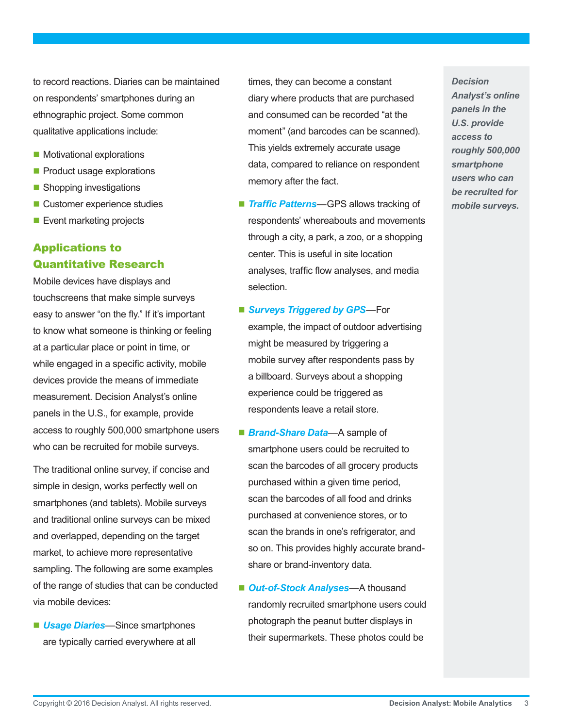to record reactions. Diaries can be maintained on respondents' smartphones during an ethnographic project. Some common qualitative applications include:

- Motivational explorations
- Product usage explorations
- Shopping investigations
- Customer experience studies
- Event marketing projects

# Applications to Quantitative Research

Mobile devices have displays and touchscreens that make simple surveys easy to answer "on the fly." If it's important to know what someone is thinking or feeling at a particular place or point in time, or while engaged in a specific activity, mobile devices provide the means of immediate measurement. Decision Analyst's online panels in the U.S., for example, provide access to roughly 500,000 smartphone users who can be recruited for mobile surveys.

The traditional online survey, if concise and simple in design, works perfectly well on smartphones (and tablets). Mobile surveys and traditional online surveys can be mixed and overlapped, depending on the target market, to achieve more representative sampling. The following are some examples of the range of studies that can be conducted via mobile devices:

■ *Usage Diaries*—Since smartphones are typically carried everywhere at all

times, they can become a constant diary where products that are purchased and consumed can be recorded "at the moment" (and barcodes can be scanned). This yields extremely accurate usage data, compared to reliance on respondent memory after the fact.

- **Traffic Patterns**—GPS allows tracking of respondents' whereabouts and movements through a city, a park, a zoo, or a shopping center. This is useful in site location analyses, traffic flow analyses, and media selection.
- *Surveys Triggered by GPS*—For example, the impact of outdoor advertising might be measured by triggering a mobile survey after respondents pass by a billboard. Surveys about a shopping experience could be triggered as respondents leave a retail store.
- *Brand-Share Data*—A sample of smartphone users could be recruited to scan the barcodes of all grocery products purchased within a given time period, scan the barcodes of all food and drinks purchased at convenience stores, or to scan the brands in one's refrigerator, and so on. This provides highly accurate brandshare or brand-inventory data.
- *Out-of-Stock Analyses*—A thousand randomly recruited smartphone users could photograph the peanut butter displays in their supermarkets. These photos could be

*Decision Analyst's online panels in the U.S. provide access to roughly 500,000 smartphone users who can be recruited for mobile surveys.*